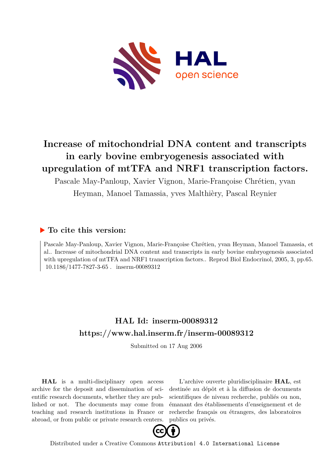

# **Increase of mitochondrial DNA content and transcripts in early bovine embryogenesis associated with upregulation of mtTFA and NRF1 transcription factors.**

Pascale May-Panloup, Xavier Vignon, Marie-Françoise Chrétien, yvan

Heyman, Manoel Tamassia, yves Malthièry, Pascal Reynier

## **To cite this version:**

Pascale May-Panloup, Xavier Vignon, Marie-Françoise Chrétien, yvan Heyman, Manoel Tamassia, et al.. Increase of mitochondrial DNA content and transcripts in early bovine embryogenesis associated with upregulation of mtTFA and NRF1 transcription factors.. Reprod Biol Endocrinol, 2005, 3, pp.65.  $10.1186/1477-7827-3-65$ . inserm-00089312

# **HAL Id: inserm-00089312 <https://www.hal.inserm.fr/inserm-00089312>**

Submitted on 17 Aug 2006

**HAL** is a multi-disciplinary open access archive for the deposit and dissemination of scientific research documents, whether they are published or not. The documents may come from teaching and research institutions in France or abroad, or from public or private research centers.

L'archive ouverte pluridisciplinaire **HAL**, est destinée au dépôt et à la diffusion de documents scientifiques de niveau recherche, publiés ou non, émanant des établissements d'enseignement et de recherche français ou étrangers, des laboratoires publics ou privés.



Distributed under a Creative Commons [Attribution| 4.0 International License](http://creativecommons.org/licenses/by/4.0/)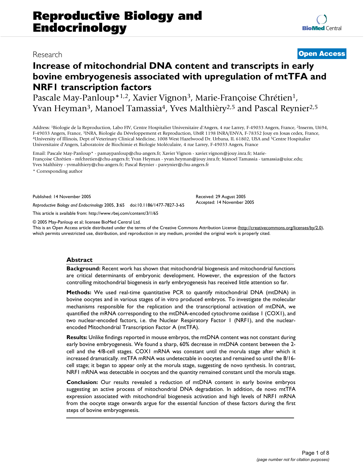## **Increase of mitochondrial DNA content and transcripts in early bovine embryogenesis associated with upregulation of mtTFA and NRF1 transcription factors**

Pascale May-Panloup\*1,2, Xavier Vignon<sup>3</sup>, Marie-Françoise Chrétien<sup>1</sup>, Yvan Heyman<sup>3</sup>, Manoel Tamassia<sup>4</sup>, Yves Malthièry<sup>2,5</sup> and Pascal Reynier<sup>2,5</sup>

Address: <sup>1</sup>Biologie de la Reproduction, Labo FIV, Centre Hospitalier Universitaire d'Angers, 4 rue Larrey, F-49033 Angers, France, <sup>2</sup>Inserm, U694, F-49033 Angers, France, <sup>3</sup>INRA, Biologie du Développement et Reproduction, UMR 1198 INRA/ENVA, F-78352 Jouy en Josas cedex, France, <sup>4</sup>University of Illinois, Dept of Veterinary Clinical Medicine, 1008 West Hazelwood Dr. Urbana, IL 61802, USA and <sup>5</sup>Centre Hospitalier Universitaire d'Angers, Laboratoire de Biochimie et Biologie Moléculaire, 4 rue Larrey, F-49033 Angers, France

Email: Pascale May-Panloup\* - pamaypanloup@chu-angers.fr; Xavier Vignon - xavier.vignon@jouy.inra.fr; Marie-Françoise Chrétien - mfchretien@chu-angers.fr; Yvan Heyman - yvan.heyman@jouy.inra.fr; Manoel Tamassia - tamassia@uiuc.edu; Yves Malthièry - yvmalthiery@chu-angers.fr; Pascal Reynier - pareynier@chu-angers.fr

\* Corresponding author

Published: 14 November 2005

*Reproductive Biology and Endocrinology* 2005, **3**:65 doi:10.1186/1477-7827-3-65

[This article is available from: http://www.rbej.com/content/3/1/65](http://www.rbej.com/content/3/1/65)

© 2005 May-Panloup et al; licensee BioMed Central Ltd.

This is an Open Access article distributed under the terms of the Creative Commons Attribution License [\(http://creativecommons.org/licenses/by/2.0\)](http://creativecommons.org/licenses/by/2.0), which permits unrestricted use, distribution, and reproduction in any medium, provided the original work is properly cited.

#### **Abstract**

**Background:** Recent work has shown that mitochondrial biogenesis and mitochondrial functions are critical determinants of embryonic development. However, the expression of the factors controlling mitochondrial biogenesis in early embryogenesis has received little attention so far.

**Methods:** We used real-time quantitative PCR to quantify mitochondrial DNA (mtDNA) in bovine oocytes and in various stages of in vitro produced embryos. To investigate the molecular mechanisms responsible for the replication and the transcriptional activation of mtDNA, we quantified the mRNA corresponding to the mtDNA-encoded cytochrome oxidase 1 (COX1), and two nuclear-encoded factors, i.e. the Nuclear Respiratory Factor 1 (NRF1), and the nuclearencoded Mitochondrial Transcription Factor A (mtTFA).

**Results:** Unlike findings reported in mouse embryos, the mtDNA content was not constant during early bovine embryogenesis. We found a sharp, 60% decrease in mtDNA content between the 2 cell and the 4/8-cell stages. COX1 mRNA was constant until the morula stage after which it increased dramatically. mtTFA mRNA was undetectable in oocytes and remained so until the 8/16 cell stage; it began to appear only at the morula stage, suggesting de novo synthesis. In contrast, NRF1 mRNA was detectable in oocytes and the quantity remained constant until the morula stage.

**Conclusion:** Our results revealed a reduction of mtDNA content in early bovine embryos suggesting an active process of mitochondrial DNA degradation. In addition, de novo mtTFA expression associated with mitochondrial biogenesis activation and high levels of NRF1 mRNA from the oocyte stage onwards argue for the essential function of these factors during the first steps of bovine embryogenesis.

## Research **[Open Access](http://www.biomedcentral.com/info/about/charter/)**

Received: 29 August 2005 Accepted: 14 November 2005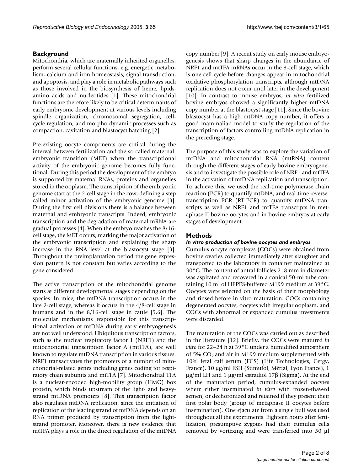#### **Background**

Mitochondria, which are maternally inherited organelles, perform several cellular functions, e.g. energetic metabolism, calcium and iron homeostasis, signal transduction, and apoptosis, and play a role in metabolic pathways such as those involved in the biosynthesis of heme, lipids, amino acids and nucleotides [1]. These mitochondrial functions are therefore likely to be critical determinants of early embryonic development at various levels including spindle organization, chromosomal segregation, cellcycle regulation, and morpho-dynamic processes such as compaction, cavitation and blastocyst hatching [2].

Pre-existing oocyte components are critical during the interval between fertilization and the so-called maternalembryonic transition (MET) when the transcriptional activity of the embryonic genome becomes fully functional. During this period the development of the embryo is supported by maternal RNAs, proteins and organelles stored in the ooplasm. The transcription of the embryonic genome start at the 2-cell stage in the cow, defining a step called minor activation of the embryonic genome [3]. During the first cell divisions there is a balance between maternal and embryonic transcripts. Indeed, embryonic transcription and the degradation of maternal mRNA are gradual processes [4]. When the embryo reaches the 8/16 cell stage, the MET occurs, marking the major activation of the embryonic transcription and explaining the sharp increase in the RNA level at the blastocyst stage [3]. Throughout the preimplantation period the gene expression pattern is not constant but varies according to the gene considered.

The active transcription of the mitochondrial genome starts at different developmental stages depending on the species. In mice, the mtDNA transcription occurs in the late 2-cell stage, whereas it occurs in the 4/8-cell stage in humans and in the 8/16-cell stage in cattle [5,6]. The molecular mechanisms responsible for this transcriptional activation of mtDNA during early embryogenesis are not well understood. Ubiquitous transcription factors, such as the nuclear respiratory factor 1 (NRF1) and the mitochondrial transcription factor A (mtTFA), are well known to regulate mtDNA transcription in various tissues. NRF1 transactivates the promoters of a number of mitochondrial-related genes including genes coding for respiratory chain subunits and mtTFA [7]. Mitochondrial TFA is a nuclear-encoded high-mobility group (HMG) box protein, which binds upstream of the light- and heavystrand mtDNA promoters [8]. This transcription factor also regulates mtDNA replication, since the initiation of replication of the leading strand of mtDNA depends on an RNA primer produced by transcription from the lightstrand promoter. Moreover, there is new evidence that mtTFA plays a role in the direct regulation of the mtDNA

copy number [9]. A recent study on early mouse embryogenesis shows that sharp changes in the abundance of NRF1 and mtTFA mRNAs occur in the 8-cell stage, which is one cell cycle before changes appear in mitochondrial oxidative phosphorylation transcripts, although mtDNA replication does not occur until later in the development [10]. In contrast to mouse embryos, *in vitro* fertilized bovine embryos showed a significantly higher mtDNA copy number at the blastocyst stage [11]. Since the bovine blastocyst has a high mtDNA copy number, it offers a good mammalian model to study the regulation of the transcription of factors controlling mtDNA replication in the preceding stage.

The purpose of this study was to explore the variation of mtDNA and mitochondrial RNA (mtRNA) content through the different stages of early bovine embryogenesis and to investigate the possible role of NRF1 and mtTFA in the activation of mtDNA replication and transcription. To achieve this, we used the real-time polymerase chain reaction (PCR) to quantify mtDNA, and real-time reversetranscription PCR (RT-PCR) to quantify mtDNA transcripts as well as NRF1 and mtTFA transcripts in metaphase II bovine oocytes and in bovine embryos at early stages of development.

#### **Methods**

#### *In vitro production of bovine oocytes and embryos*

Cumulus oocyte complexes (COCs) were obtained from bovine ovaries collected immediately after slaughter and transported to the laboratory in container maintained at 30°C. The content of antral follicles 2–8 mm in diameter was aspirated and recovered in a conical 50-ml tube containing 10 ml of HEPES-buffered M199 medium at 39°C. Oocytes were selected on the basis of their morphology and rinsed before in vitro maturation. COCs containing degenerated oocytes, oocytes with irregular ooplasm, and COCs with abnormal or expanded cumulus investments were discarded.

The maturation of the COCs was carried out as described in the literature [12]. Briefly, the COCs were matured *in vitro* for 22–24 h at 39°C under a humidified atmosphere of 5%  $CO<sub>2</sub>$  and air in M199 medium supplemented with 10% fetal calf serum (FCS) (Life Technologies, Cergy, France), 10 µg/ml FSH (Stimufol, Mérial, Lyon France), 1 µg/ml LH and 1 µg/ml estradiol 17β (Sigma). At the end of the maturation period, cumulus-expanded oocytes where either inseminated *in vitro* with frozen-thawed semen, or dechoronized and retained if they present their first polar body (group of metaphase II oocytes before insemination). One ejaculate from a single bull was used throughout all the experiments. Eighteen hours after fertilization, presumptive zygotes had their cumulus cells removed by vortexing and were transferred into 50 µl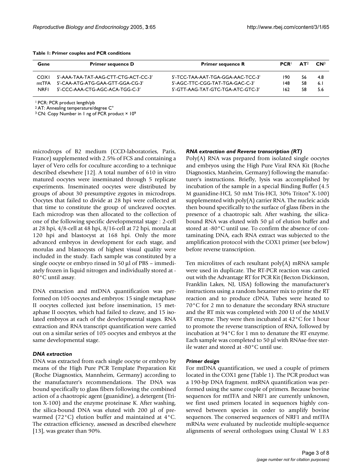|  |  |  |  |  |  | Table 1: Primer couples and PCR conditions |
|--|--|--|--|--|--|--------------------------------------------|
|--|--|--|--|--|--|--------------------------------------------|

| Gene        | <b>Primer sequence D</b>             | <b>Primer sequence R</b>          | <b>PCR</b> | AT <sup>2</sup> | $\mathbf{C} \mathbf{N}^3$ |
|-------------|--------------------------------------|-----------------------------------|------------|-----------------|---------------------------|
| COXI        | 5'-AAA-TAA-TAT-AAG-CTT-CTG-ACT-CC-3' | 5'-TCC-TAA-AAT-TGA-GGA-AAC-TCC-3' | 190        | 56              | -4.8                      |
| mtTFA       | 5'-CAA-ATG-ATG-GAA-GTT-GGA-CG-3'     | 5'-AGC-TTC-CGG-TAT-TGA-GAC-C-3'   | 148        | 58              | 6.1                       |
| <b>NRFI</b> | 5'-CCC-AAA-CTG-AGC-ACA-TGG-C-3'      | 5'-GTT-AAG-TAT-GTC-TGA-ATC-GTC-3' | 162        | 58              | 5.6                       |

<sup>1</sup>PCR: PCR product length/pb

<sup>2</sup>AT: Annealing temperature/degree C°

<sup>3</sup> CN: Copy Number in 1 ng of PCR product × 10<sup>9</sup>

microdrops of B2 medium (CCD-laboratories, Paris, France) supplemented with 2.5% of FCS and containing a layer of Vero cells for coculture according to a technique described elsewhere [12]. A total number of 610 in vitro matured oocytes were inseminated through 5 replicate experiments. Inseminated oocytes were distributed by groups of about 30 presumptive zygotes in microdrops. Oocytes that failed to divide at 28 hpi were collected at that time to constitute the group of uncleaved oocytes. Each microdrop was then allocated to the collection of one of the following specific developmental stage : 2-cell at 28 hpi, 4/8-cell at 48 hpi, 8/16-cell at 72 hpi, morula at 120 hpi and blastocyst at 168 hpi. Only the more advanced embryos in development for each stage, and morulas and blastocysts of highest visual quality were included in the study. Each sample was constituted by a single oocyte or embryo rinsed in 50 µl of PBS – immediately frozen in liquid nitrogen and individually stored at - 80°C until assay.

DNA extraction and mtDNA quantification was performed on 105 oocytes and embryos: 15 single metaphase II oocytes collected just before insemination, 15 metaphase II oocytes, which had failed to cleave, and 15 isolated embryos at each of the developmental stages. RNA extraction and RNA transcript quantification were carried out on a similar series of 105 oocytes and embryos at the same developmental stage.

#### *DNA extraction*

DNA was extracted from each single oocyte or embryo by means of the High Pure PCR Template Preparation Kit (Roche Diagnostics, Mannheim, Germany) according to the manufacturer's recommendations. The DNA was bound specifically to glass fibers following the combined action of a chaotropic agent (guanidine), a detergent (Triton X-100) and the enzyme proteinase K. After washing, the silica-bound DNA was eluted with 200 µl of prewarmed (72°C) elution buffer and maintained at 4°C. The extraction efficiency, assessed as described elsewhere [13], was greater than 90%.

#### *RNA extraction and Reverse transcription (RT)*

Poly(A) RNA was prepared from isolated single oocytes and embryos using the High Pure Viral RNA Kit (Roche Diagnostics, Manheim, Germany) following the manufacturer's instructions. Briefly, lysis was accomplished by incubation of the sample in a special Binding Buffer (4.5 M guanidine-HCl, 50 mM Tris-HCl, 30% Triton® X-100) supplemented with poly(A) carrier RNA. The nucleic acids then bound specifically to the surface of glass fibers in the presence of a chaotropic salt. After washing, the silicabound RNA was eluted with 50 µl of elution buffer and stored at -80°C until use. To confirm the absence of contaminating DNA, each RNA extract was subjected to the amplification protocol with the COX1 primer (see below) before reverse transcription.

Ten microlitres of each resultant poly(A) mRNA sample were used in duplicate. The RT-PCR reaction was carried out with the Advantage RT for PCR Kit (Becton Dickinson, Franklin Lakes, NJ, USA) following the manufacturer's instructions using a random hexamer mix to prime the RT reaction and to produce cDNA. Tubes were heated to 70°C for 2 mn to denature the secondary RNA structure and the RT mix was completed with 200 U of the MMLV RT enzyme. They were then incubated at 42°C for 1 hour to promote the reverse transcription of RNA, followed by incubation at 94°C for 1 mn to denature the RT enzyme. Each sample was completed to 50 µl with RNAse-free sterile water and stored at -80°C until use.

#### *Primer design*

For mtDNA quantification, we used a couple of primers located in the COX1 gene (Table 1). The PCR product was a 190-bp DNA fragment. mtRNA quantification was performed using the same couple of primers. Because bovine sequences for mtTFA and NRF1 are currently unknown, we first used primers located in sequences highly conserved between species in order to amplify bovine sequences. The conserved sequences of NRF1 and mtTFA mRNAs were evaluated by nucleotide multiple-sequence alignments of several orthologues using Clustal W 1.83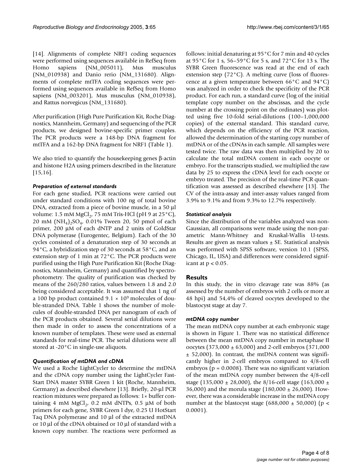[14]. Alignments of complete NRF1 coding sequences were performed using sequences available in RefSeq from Homo sapiens (NM\_005011), Mus musculus (NM\_010938) and Danio rerio (NM\_131680). Alignments of complete mtTFA coding sequences were performed using sequences available in RefSeq from Homo sapiens (NM\_003201), Mus musculus (NM\_010938), and Rattus norvegicus (NM\_131680).

After purification (High Pure Purification Kit, Roche Diagnostics, Mannheim, Germany) and sequencing of the PCR products, we designed bovine-specific primer couples. The PCR products were a 148-bp DNA fragment for mtTFA and a 162-bp DNA fragment for NRF1 (Table 1).

We also tried to quantify the housekeeping genes β-actin and histone H2A using primers described in the literature [15,16].

#### *Preparation of external standards*

For each gene studied, PCR reactions were carried out under standard conditions with 100 ng of total bovine DNA, extracted from a piece of bovine muscle, in a 50 µl volume: 1.5 mM  ${MgCl}_2$ , 75 mM Tris-HCl (pH 9 at 25 $^{\circ}$ C), 20 mM  $(NH_4)_2SO_4$ , 0.01% Tween 20, 50 pmol of each primer, 200 µM of each dNTP and 2 units of GoldStar DNA polymerase (Eurogentec, Belgium). Each of the 30 cycles consisted of a denaturation step of 30 seconds at 94°C, a hybridization step of 30 seconds at 58°C, and an extension step of 1 min at 72°C. The PCR products were purified using the High Pure Purification Kit (Roche Diagnostics, Mannheim, Germany) and quantified by spectrophotometry. The quality of purification was checked by means of the 260/280 ratios, values between 1.8 and 2.0 being considered acceptable. It was assumed that 1 ng of a 100 bp product contained  $9.1 \times 10^9$  molecules of double-stranded DNA. Table 1 shows the number of molecules of double-stranded DNA per nanogram of each of the PCR products obtained. Several serial dilutions were then made in order to assess the concentrations of a known number of templates. These were used as external standards for real-time PCR. The serial dilutions were all stored at -20°C in single-use aliquots.

#### *Quantification of mtDNA and cDNA*

We used a Roche LightCycler to determine the mtDNA and the cDNA copy number using the LightCycler Fast-Start DNA master SYBR Green 1 kit (Roche, Mannheim, Germany) as described elsewhere [13]. Briefly, 20-µl PCR reaction mixtures were prepared as follows: 1× buffer containing 4 mM  $MgCl<sub>2</sub>$ , 0.2 mM dNTPs, 0.5 µM of both primers for each gene, SYBR Green I dye, 0.25 U HotStart Taq DNA polymerase and 10 µl of the extracted mtDNA or 10 µl of the cDNA obtained or 10 µl of standard with a known copy number. The reactions were performed as follows: initial denaturing at 95°C for 7 min and 40 cycles at 95°C for 1 s, 56–59°C for 5 s, and 72°C for 13 s. The SYBR Green fluorescence was read at the end of each extension step (72°C). A melting curve (loss of fluorescence at a given temperature between 66°C and 94°C) was analyzed in order to check the specificity of the PCR product. For each run, a standard curve (log of the initial template copy number on the abscissas, and the cycle number at the crossing point on the ordinates) was plotted using five 10-fold serial-dilutions (100–1,000,000 copies) of the external standard. This standard curve, which depends on the efficiency of the PCR reaction, allowed the determination of the starting copy number of mtDNA or of the cDNAs in each sample. All samples were tested twice. The raw data was then multiplied by 20 to calculate the total mtDNA content in each oocyte or embryo. For the transcripts studied, we multiplied the raw data by 25 to express the cDNA level for each oocyte or embryo treated. The precision of the real-time PCR quantification was assessed as described elsewhere [13]. The CV of the intra-assay and inter-assay values ranged from 3.9% to 9.1% and from 9.3% to 12.7% respectively.

#### *Statistical analysis*

Since the distribution of the variables analyzed was non-Gaussian, all comparisons were made using the non-parametric Mann-Whitney and Kruskal-Wallis U-tests. Results are given as mean values  $\pm$  SE. Statistical analysis was performed with SPSS software, version 10.1 (SPSS, Chicago, IL, USA) and differences were considered significant at  $p < 0.05$ .

### **Results**

In this study, the in vitro cleavage rate was 88% (as assessed by the number of embryos with 2 cells or more at 48 hpi) and 54,4% of cleaved oocytes developed to the blastocyst stage at day 7.

#### *mtDNA copy number*

The mean mtDNA copy number at each embryonic stage is shown in Figure 1. There was no statistical difference between the mean mtDNA copy number in metaphase II oocytes (373,000 ± 63,000) and 2-cell embryos (371,000 ± 52,000). In contrast, the mtDNA content was significantly higher in 2-cell embryos compared to 4/8-cell embryos ( $p = 0.0008$ ). There was no significant variation of the mean mtDNA copy number between the 4/8-cell stage (135,000 ± 28,000), the 8/16-cell stage (163,000 ± 36,000) and the morula stage (180,000 ± 26,000). However, there was a considerable increase in the mtDNA copy number at the blastocyst stage (688,000  $\pm$  50,000) (p < 0.0001).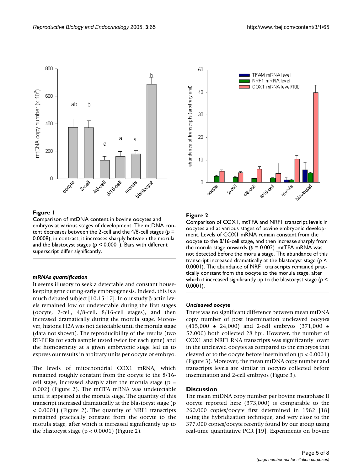

### Figure 1

Comparison of mtDNA content in bovine oocytes and embryos at various stages of development. The mtDNA content decreases between the 2-cell and the 4/8-cell stages (*p* = 0.0008); in contrast, it increases sharply between the morula and the blastocyst stages (*p* < 0.0001). Bars with different superscript differ significantly.

### *mRNAs quantification*

It seems illusory to seek a detectable and constant housekeeping gene during early embryogenesis. Indeed, this is a much debated subject [10,15-17]. In our study β-actin levels remained low or undetectable during the first stages (oocyte, 2-cell, 4/8-cell, 8/16-cell stages), and then increased dramatically during the morula stage. Moreover, histone H2A was not detectable until the morula stage (data not shown). The reproducibility of the results (two RT-PCRs for each sample tested twice for each gene) and the homogeneity at a given embryonic stage led us to express our results in arbitrary units per oocyte or embryo.

The levels of mitochondrial COX1 mRNA, which remained roughly constant from the oocyte to the 8/16 cell stage, increased sharply after the morula stage ( $p =$ 0.002) (Figure 2). The mtTFA mRNA was undetectable until it appeared at the morula stage. The quantity of this transcript increased dramatically at the blastocyst stage (p < 0.0001) (Figure 2). The quantity of NRF1 transcripts remained practically constant from the oocyte to the morula stage, after which it increased significantly up to the blastocyst stage ( $p < 0.0001$ ) (Figure 2).



### Figure 2

Comparison of COX1, mtTFA and NRF1 transcript levels in oocytes and at various stages of bovine embryonic development. Levels of COX1 mRNA remain constant from the oocyte to the 8/16-cell stage, and then increase sharply from the morula stage onwards ( $p = 0.002$ ). mtTFA mRNA was not detected before the morula stage. The abundance of this transcript increased dramatically at the blastocyst stage (*p* < 0.0001). The abundance of NRF1 transcripts remained practically constant from the oocyte to the morula stage, after which it increased significantly up to the blastocyst stage (*p* < 0.0001).

#### *Uncleaved oocyte*

There was no significant difference between mean mtDNA copy number of post insemination uncleaved oocytes  $(415,000 \pm 24,000)$  and 2-cell embryos  $(371,000 \pm 24,000)$ 52,000) both collected 28 hpi. However, the number of COX1 and NRF1 RNA transcripts was significantly lower in the uncleaved oocytes as compared to the embryos that cleaved or to the oocyte before insemination ( $p < 0.0001$ ) (Figure 3). Moreover, the mean mtDNA copy number and transcripts levels are similar in oocytes collected before insemination and 2-cell embryos (Figure 3).

#### **Discussion**

The mean mtDNA copy number per bovine metaphase II oocyte reported here (373,000) is comparable to the 260,000 copies/oocyte first determined in 1982 [18] using the hybridization technique, and very close to the 377,000 copies/oocyte recently found by our group using real-time quantitative PCR [19]. Experiments on bovine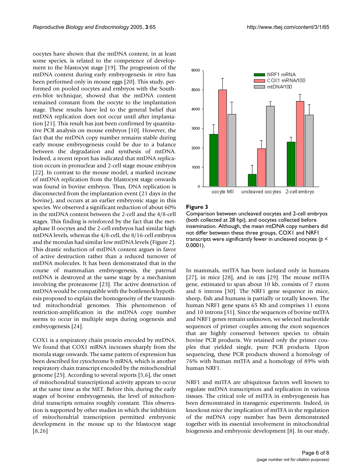oocytes have shown that the mtDNA content, in at least some species, is related to the competence of development to the blastocyst stage [19]. The progression of the mtDNA content during early embryogenesis *in vitro* has been performed only in mouse eggs [20]. This study, performed on pooled oocytes and embryos with the Southern-blot technique, showed that the mtDNA content remained constant from the oocyte to the implantation stage. These results have led to the general belief that mtDNA replication does not occur until after implantation [21]. This result has just been confirmed by quantitative PCR analysis on mouse embryos [10]. However, the fact that the mtDNA copy number remains stable during early mouse embryogenesis could be due to a balance between the degradation and synthesis of mtDNA. Indeed, a recent report has indicated that mtDNA replication occurs in pronuclear and 2-cell stage mouse embryos [22]. In contrast to the mouse model, a marked increase of mtDNA replication from the blastocyst stage onwards was found in bovine embryos. Thus, DNA replication is disconnected from the implantation event (21 days in the bovine), and occurs at an earlier embryonic stage in this species. We observed a significant reduction of about 60% in the mtDNA content between the 2-cell and the 4/8-cell stages. This finding is reinforced by the fact that the metaphase II oocytes and the 2-cell embryos had similar high mtDNA levels, whereas the 4/8-cell, the 8/16-cell embryos and the morulas had similar low mtDNA levels (Figure 2). This drastic reduction of mtDNA content argues in favor of active destruction rather than a reduced turnover of mtDNA molecules. It has been demonstrated that in the course of mammalian embryogenesis, the paternal mtDNA is destroyed at the same stage by a mechanism involving the proteasome [23]. The active destruction of mtDNA would be compatible with the bottleneck hypothesis proposed to explain the homogeneity of the transmitted mitochondrial genomes. This phenomenon of restriction-amplification in the mtDNA copy number seems to occur in multiple steps during oogenesis and embryogenesis [24].

COX1 is a respiratory chain protein encoded by mtDNA. We found that COX1 mRNA increases sharply from the morula stage onwards. The same pattern of expression has been described for cytochrome b mRNA, which is another respiratory chain transcript encoded by the mitochondrial genome [25]. According to several reports [5,6], the onset of mitochondrial transcriptional activity appears to occur at the same time as the MET. Before this, during the early stages of bovine embryogenesis, the level of mitochondrial transcripts remains roughly constant. This observation is supported by other studies in which the inhibition of mitochondrial transcription permitted embryonic development in the mouse up to the blastocyst stage [8,26]



#### Figure 3

Comparison between uncleaved oocytes and 2-cell embryos (both collected at 28 hpi), and oocytes collected before insemination. Although, the mean mtDNA copy numbers did not differ between these three groups, COX1 and NRF1 transcripts were significantly fewer in uncleaved oocytes (*p* < 0.0001).

In mammals, mtTFA has been isolated only in humans [27], in mice [28], and in rats [29]. The mouse mtTFA gene, estimated to span about 10 kb, consists of 7 exons and 6 introns [30]. The NRF1 gene sequence in mice, sheep, fish and humans is partially or totally known. The human NRF1 gene spans 65 Kb and comprises 11 exons and 10 introns [31]. Since the sequences of bovine mtTFA and NRF1 genes remain unknown, we selected nucleotide sequences of primer couples among the exon sequences that are highly conserved between species to obtain bovine PCR products. We retained only the primer couples that yielded single, pure PCR products. Upon sequencing, these PCR products showed a homology of 76% with human mtTFA and a homology of 89% with human NRF1.

NRF1 and mtTFA are ubiquitous factors well known to regulate mtDNA transcription and replication in various tissues. The critical role of mtTFA in embryogenesis has been demonstrated in transgenic experiments. Indeed, in knockout mice the implication of mtTFA in the regulation of the mtDNA copy number has been demonstrated together with its essential involvement in mitochondrial biogenesis and embryonic development [8]. In our study,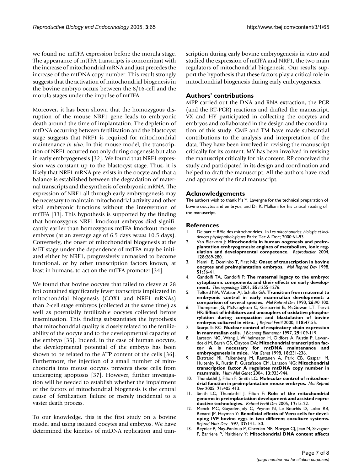we found no mtTFA expression before the morula stage. The appearance of mtTFA transcripts is concomitant with the increase of mitochondrial mRNA and just precedes the increase of the mtDNA copy number. This result strongly suggests that the activation of mitochondrial biogenesis in the bovine embryo occurs between the 8/16-cell and the morula stages under the impulse of mtTFA.

Moreover, it has been shown that the homozygous disruption of the mouse NRF1 gene leads to embryonic death around the time of implantation. The depletion of mtDNA occurring between fertilization and the blastocyst stage suggests that NRF1 is required for mitochondrial maintenance *in vivo*. In this mouse model, the transcription of NRF1 occurred not only during oogenesis but also in early embryogenesis [32]. We found that NRF1 expression was constant up to the blastocyst stage. Thus, it is likely that NRF1 mRNA pre-exists in the oocyte and that a balance is established between the degradation of maternal transcripts and the synthesis of embryonic mRNA. The expression of NRF1 all through early embryogenesis may be necessary to maintain mitochondrial activity and other vital embryonic functions without the intervention of mtTFA [33]. This hypothesis is supported by the finding that homozygous NRF1 knockout embryos died significantly earlier than homozygous mtTFA knockout mouse embryos (at an average age of 6.5 days *versus* 10.5 days). Conversely, the onset of mitochondrial biogenesis at the MET stage under the dependence of mtTFA may be initiated either by NRF1, progressively unmasked to become functional, or by other transcription factors known, at least in humans, to act on the mtTFA promoter [34].

We found that bovine oocytes that failed to cleave at 28 hpi contained significantly fewer transcripts implicated in mitochondrial biogenesis (COX1 and NRF1 mRNAs) than 2-cell stage embryos (collected at the same time) as well as potentially fertilizable oocytes collected before insemination. This finding substantiates the hypothesis that mitochondrial quality is closely related to the fertilizability of the oocyte and to the developmental capacity of the embryo [35]. Indeed, in the case of human oocytes, the developmental potential of the embryo has been shown to be related to the ATP content of the cells [36]. Furthermore, the injection of a small number of mitochondria into mouse oocytes prevents these cells from undergoing apoptosis [37]. However, further investigation will be needed to establish whether the impairment of the factors of mitochondrial biogenesis is the central cause of fertilization failure or merely incidental to a vaster death process.

To our knowledge, this is the first study on a bovine model and using isolated oocytes and embryos. We have determined the kinetics of mtDNA replication and transcription during early bovine embryogenesis in vitro and studied the expression of mtTFA and NRF1, the two main regulators of mitochondrial biogenesis. Our results support the hypothesis that these factors play a critical role in mitochondrial biogenesis during early embryogenesis.

#### **Authors' contributions**

MPP carried out the DNA and RNA extraction, the PCR (and the RT-PCR) reactions and drafted the manuscript. VX and HY participated in collecting the oocytes and embryos and collaborated in the design and the coordination of this study. CMF and TM have made substantial contributions to the analysis and interpretation of the data. They have been involved in revising the manuscript critically for its content. MY has been involved in revising the manuscript critically for his content. RP conceived the study and participated in its design and coordination and helped to draft the manuscript. All the authors have read and approve of the final manuscript.

#### **Acknowledgements**

The authors wish to thank Ms Y. Lavergne for the technical preparation of bovine oocytes and embryos, and Dr K. Malkani for his critical reading of the manuscript.

#### **References**

- 1. Delbart c: Rôle des mitochondries. In *Les mitochondries: biologie et incidences physiopathologiques* Paris: Tec & Doc; 2000:61-93.
- 2. Van Blerkom J: **[Mitochondria in human oogenesis and preim](http://www.ncbi.nlm.nih.gov/entrez/query.fcgi?cmd=Retrieve&db=PubMed&dopt=Abstract&list_uids=15333778)[plantation embryogenesis: engines of metabolism, ionic reg](http://www.ncbi.nlm.nih.gov/entrez/query.fcgi?cmd=Retrieve&db=PubMed&dopt=Abstract&list_uids=15333778)[ulation and developmental competence.](http://www.ncbi.nlm.nih.gov/entrez/query.fcgi?cmd=Retrieve&db=PubMed&dopt=Abstract&list_uids=15333778)** *Reproduction* 2004, **128:**269-280.
- 3. Memili E, Dominko T, First NL: **[Onset of transcription in bovine](http://www.ncbi.nlm.nih.gov/entrez/query.fcgi?cmd=Retrieve&db=PubMed&dopt=Abstract&list_uids=9712315) [oocytes and preimplantation embryos.](http://www.ncbi.nlm.nih.gov/entrez/query.fcgi?cmd=Retrieve&db=PubMed&dopt=Abstract&list_uids=9712315)** *Mol Reprod Dev* 1998, **51:**36-41.
- 4. Gandolfi TA, Gandolfi F: **[The maternal legacy to the embryo:](http://www.ncbi.nlm.nih.gov/entrez/query.fcgi?cmd=Retrieve&db=PubMed&dopt=Abstract&list_uids=11327683) [cytoplasmic components and their effects on early develop](http://www.ncbi.nlm.nih.gov/entrez/query.fcgi?cmd=Retrieve&db=PubMed&dopt=Abstract&list_uids=11327683)[ment.](http://www.ncbi.nlm.nih.gov/entrez/query.fcgi?cmd=Retrieve&db=PubMed&dopt=Abstract&list_uids=11327683)** *Theriogenology* 2001, **55:**1255-1276.
- 5. Telford NA, Watson AJ, Schultz GA: **[Transition from maternal to](http://www.ncbi.nlm.nih.gov/entrez/query.fcgi?cmd=Retrieve&db=PubMed&dopt=Abstract&list_uids=2189447) [embryonic control in early mammalian development: a](http://www.ncbi.nlm.nih.gov/entrez/query.fcgi?cmd=Retrieve&db=PubMed&dopt=Abstract&list_uids=2189447) [comparison of several species.](http://www.ncbi.nlm.nih.gov/entrez/query.fcgi?cmd=Retrieve&db=PubMed&dopt=Abstract&list_uids=2189447)** *Mol Reprod Dev* 1990, **26:**90-100.
- 6. Thompson JG, McNaughton C, Gasparrini B, McGowan LT, Tervit HR: **[Effect of inhibitors and uncouplers of oxidative phospho](http://www.ncbi.nlm.nih.gov/entrez/query.fcgi?cmd=Retrieve&db=PubMed&dopt=Abstract&list_uids=10793625)[rylation during compaction and blastulation of bovine](http://www.ncbi.nlm.nih.gov/entrez/query.fcgi?cmd=Retrieve&db=PubMed&dopt=Abstract&list_uids=10793625) [embryos cultured in vitro.](http://www.ncbi.nlm.nih.gov/entrez/query.fcgi?cmd=Retrieve&db=PubMed&dopt=Abstract&list_uids=10793625)** *J Reprod Fertil* 2000, **118:**47-55.
- 7. Scarpulla RC: **[Nuclear control of respiratory chain expression](http://www.ncbi.nlm.nih.gov/entrez/query.fcgi?cmd=Retrieve&db=PubMed&dopt=Abstract&list_uids=9239537) [in mammalian cells.](http://www.ncbi.nlm.nih.gov/entrez/query.fcgi?cmd=Retrieve&db=PubMed&dopt=Abstract&list_uids=9239537)** *J Bioenerg Biomembr* 1997, **29:**109-119.
- 8. Larsson NG, Wang J, Wilhelmsson H, Oldfors A, Rustin P, Lewandoski M, Barsh GS, Clayton DA: **[Mitochondrial transcription fac](http://www.ncbi.nlm.nih.gov/entrez/query.fcgi?cmd=Retrieve&db=PubMed&dopt=Abstract&list_uids=9500544)**tor A is necessary for mtDNA maintenance **[embryogenesis in mice.](http://www.ncbi.nlm.nih.gov/entrez/query.fcgi?cmd=Retrieve&db=PubMed&dopt=Abstract&list_uids=9500544)** *Nat Genet* 1998, **18:**231-236.
- 9. Ekstrand MI, Falkenberg M, Rantanen A, Park CB, Gaspari M, Hultenby K, Rustin P, Gustafsson CM, Larsson NG: **[Mitochondrial](http://www.ncbi.nlm.nih.gov/entrez/query.fcgi?cmd=Retrieve&db=PubMed&dopt=Abstract&list_uids=15016765) [transcription factor A regulates mtDNA copy number in](http://www.ncbi.nlm.nih.gov/entrez/query.fcgi?cmd=Retrieve&db=PubMed&dopt=Abstract&list_uids=15016765) [mammals.](http://www.ncbi.nlm.nih.gov/entrez/query.fcgi?cmd=Retrieve&db=PubMed&dopt=Abstract&list_uids=15016765)** *Hum Mol Genet* 2004, **13:**935-944.
- 10. Thundathil J, Filion F, Smith LC: [Molecular control of mitochon](http://www.ncbi.nlm.nih.gov/entrez/query.fcgi?cmd=Retrieve&db=PubMed&dopt=Abstract&list_uids=15895466)**[drial function in preimplantation mouse embryos.](http://www.ncbi.nlm.nih.gov/entrez/query.fcgi?cmd=Retrieve&db=PubMed&dopt=Abstract&list_uids=15895466)** *Mol Reprod Dev* 2005, **71:**405-413.
- 11. Smith LC, Thundathil J, Filion F: **[Role of the mitochondrial](http://www.ncbi.nlm.nih.gov/entrez/query.fcgi?cmd=Retrieve&db=PubMed&dopt=Abstract&list_uids=15745628) [genome in preimplantation development and assisted repro](http://www.ncbi.nlm.nih.gov/entrez/query.fcgi?cmd=Retrieve&db=PubMed&dopt=Abstract&list_uids=15745628)[ductive technologies.](http://www.ncbi.nlm.nih.gov/entrez/query.fcgi?cmd=Retrieve&db=PubMed&dopt=Abstract&list_uids=15745628)** *Reprod Fertil Dev* 2005, **17:**15-22.
- 12. Menck MC, Guyader-Joly C, Peynot N, Le Bourhis D, Lobo RB, Renard JP, Heyman Y: **[Beneficial effects of Vero cells for devel](http://www.ncbi.nlm.nih.gov/entrez/query.fcgi?cmd=Retrieve&db=PubMed&dopt=Abstract&list_uids=9178355)[oping IVF bovine eggs in two different coculture systems.](http://www.ncbi.nlm.nih.gov/entrez/query.fcgi?cmd=Retrieve&db=PubMed&dopt=Abstract&list_uids=9178355)** *Reprod Nutr Dev* 1997, **37:**141-150.
- 13. Reynier P, May-Panloup P, Chretien MF, Morgan CJ, Jean M, Savagner F, Barriere P, Malthiery Y: **[Mitochondrial DNA content affects](http://www.ncbi.nlm.nih.gov/entrez/query.fcgi?cmd=Retrieve&db=PubMed&dopt=Abstract&list_uids=11331664)**